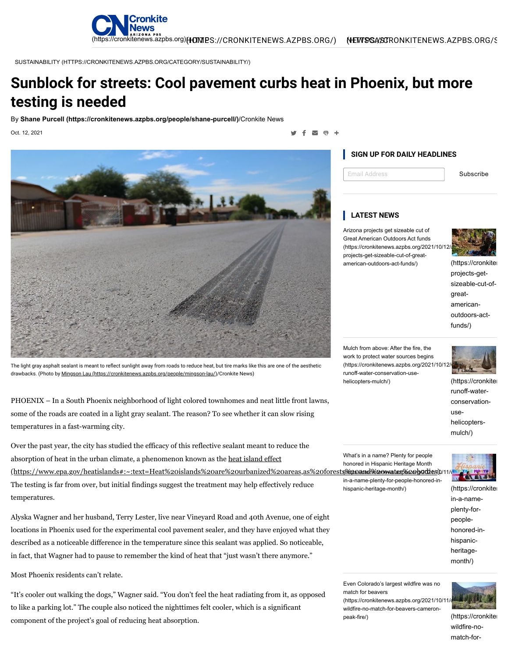

SUSTAINABILITY [\(HTTPS://CRONKITENEWS.AZPBS.ORG/CATEGORY/SUSTAINABILITY/\)](https://cronkitenews.azpbs.org/category/sustainability/)

# **Sunblock for streets: Cool pavement curbs heat in Phoenix, but more testing is needed**

By **[Shane Purcell \(https://cronkitenews.azpbs.org/people/shane-purcell/\)](https://cronkitenews.azpbs.org/people/shane-purcell/)**/Cronkite News

Oct. 12, 2021

÷ しょうしょう しょうしょう しょうしょう しょうしょうしょう しょうしょう うまい しょうしょう うらく こうしょう



The light gray asphalt sealant is meant to reflect sunlight away from roads to reduce heat, but tire marks like this are one of the aesthetic drawbacks. (Photo by **Mingson Lau [\(https://cronkitenews.azpbs.org/people/mingson-lau/\)](https://cronkitenews.azpbs.org/people/mingson-lau/)/Cronkite News)** 

PHOENIX – In a South Phoenix neighborhood of light colored townhomes and neat little front lawns, some of the roads are coated in a light gray sealant. The reason? To see whether it can slow rising temperatures in a fast-warming city.

Over the past year, the city has studied the efficacy of this reflective sealant meant to reduce the absorption of heat in the urban climate, a phenomenon known as the heat island effect (https://www[.](https://cronkitenews.azpbs.org/2021/10/11/whats-in-a-name-plenty-for-people-honored-in-hispanic-heritage-month/)epa.gov/heatislands#:~:text=Heat%20islands%20are%20urbanized%20areas,as%20forest The testing is far from over, but initial findings suggest the treatment may help effectively reduce temperatures. in-a-name-plenty-for-people-honored-in-

Alyska Wagner and her husband, Terry Lester, live near Vineyard Road and 40th Avenue, one of eight locations in Phoenix used for the experimental cool pavement sealer, and they have enjoyed what they described as a noticeable difference in the temperature since this sealant was applied. So noticeable, in fact, that Wagner had to pause to remember the kind of heat that "just wasn't there anymore."

Most Phoenix residents can't relate.

"It's cooler out walking the dogs," Wagner said. "You don't feel the heat radiating from it, as opposed to like a parking lot." The couple also noticed the nighttimes felt cooler, which is a significant component of the project's goal of reducing heat absorption.

## **SIGN UP FOR DAILY HEADLINES**

Email Address Subscribe

### **LATEST NEWS**

Arizona projects get sizeable cut of Great American Outdoors Act funds (https://cronkitenews.azpbs.org/2021/10/12 projects-get-sizeable-cut-of-greatamerican-outdoors-act-funds/) [\(https://cronkiten](https://cronkitenews.azpbs.org/2021/10/12/arizona-projects-get-sizeable-cut-of-great-american-outdoors-act-funds/)



projects-getsizeable-cut-ofgreatamericanoutdoors-actfunds/)

Mulch from above: After the fire, the work to protect water sources begins (https://cronkitenews.azpbs.org/2021/10/12 runoff-water-conservation-use-helicopters-mulch/) [\(https://cronkiten](https://cronkitenews.azpbs.org/2021/10/12/wildfire-runoff-water-conservation-use-helicopters-mulch/)



runoff-waterconservationusehelicoptersmulch/)

What's in a name? Plenty for people honored in Hispanic Heritage Month <u>(skkps://andtkiteoswatenkke.orb/adzies)</u>



hispanic-heritage-month/) [\(https://cronkiten](https://cronkitenews.azpbs.org/2021/10/11/whats-in-a-name-plenty-for-people-honored-in-hispanic-heritage-month/) in-a-nameplenty-forpeoplehonored-inhispanic-

Even Colorado's largest wildfire was no match for beavers

 $(*https://cronkitenews.azobs.ora/2021/10/1*)$ wildfire-no-match-for-beavers-cameron-peak-fire/) [\(https://cronkiten](https://cronkitenews.azpbs.org/2021/10/11/colorado-wildfire-no-match-for-beavers-cameron-peak-fire/)



heritagemonth/)

wildfire-nomatch-for-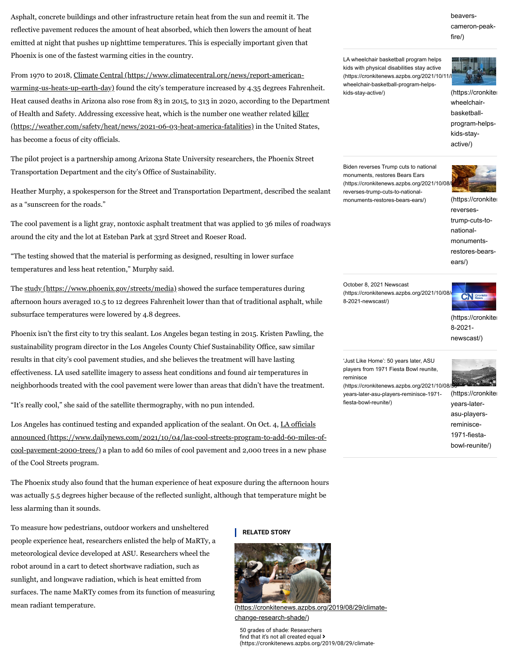Asphalt, concrete buildings and other infrastructure retain heat from the sun and reemit it. The reflective pavement reduces the amount of heat absorbed, which then lowers the amount of heat emitted at night that pushes up nighttime temperatures. This is especially important given that Phoenix is one of the fastest warming cities in the country.

From 1970 to 2018, Climate Central [\(https://www.climatecentral.org/news/report-american](https://www.climatecentral.org/news/report-american-warming-us-heats-up-earth-day)warming-us-heats-up-earth-day) found the city's temperature increased by 4.35 degrees Fahrenheit. Heat caused deaths in Arizona also rose from 83 in 2015, to 313 in 2020, according to the Department of Health and Safety. Addressing excessive heat, which is the number one weather related killer [\(https://weather.com/safety/heat/news/2021-06-03-heat-america-fatalities\)](https://weather.com/safety/heat/news/2021-06-03-heat-america-fatalities) in the United States, has become a focus of city officials.

The pilot project is a partnership among Arizona State University researchers, the Phoenix Street Transportation Department and the city's Office of Sustainability.

Heather Murphy, a spokesperson for the Street and Transportation Department, described the sealant as a "sunscreen for the roads."

The cool pavement is a light gray, nontoxic asphalt treatment that was applied to 36 miles of roadways around the city and the lot at Esteban Park at 33rd Street and Roeser Road.

"The testing showed that the material is performing as designed, resulting in lower surface temperatures and less heat retention," Murphy said.

The study [\(https://www.phoenix.gov/streets/media\)](https://www.phoenix.gov/streets/media) showed the surface temperatures during afternoon hours averaged 10.5 to 12 degrees Fahrenheit lower than that of traditional asphalt, while subsurface temperatures were lowered by 4.8 degrees.

Phoenix isn't the first city to try this sealant. Los Angeles began testing in 2015. Kristen Pawling, the sustainability program director in the Los Angeles County Chief Sustainability Office, saw similar results in that city's cool pavement studies, and she believes the treatment will have lasting effectiveness. LA used satellite imagery to assess heat conditions and found air temperatures in neighborhoods treated with the cool pavement were lower than areas that didn't have the treatment.

"It's really cool," she said of the satellite thermography, with no pun intended.

Los Angeles has continued testing and expanded application of the sealant. On Oct. 4, LA officials announced [\(https://www.dailynews.com/2021/10/04/las-cool-streets-program-to-add-60-miles-of](https://www.dailynews.com/2021/10/04/las-cool-streets-program-to-add-60-miles-of-cool-pavement-2000-trees/)cool-pavement-2000-trees/) a plan to add 60 miles of cool pavement and 2,000 trees in a new phase of the Cool Streets program.

The Phoenix study also found that the human experience of heat exposure during the afternoon hours was actually 5.5 degrees higher because of the reflected sunlight, although that temperature might be less alarming than it sounds.

To measure how pedestrians, outdoor workers and unsheltered people experience heat, researchers enlisted the help of MaRTy, a meteorological device developed at ASU. Researchers wheel the robot around in a cart to detect shortwave radiation, such as sunlight, and longwave radiation, which is heat emitted from surfaces. The name MaRTy comes from its function of measuring mean radiant temperature.

#### **RELATED STORY**



[\(https://cronkitenews.azpbs.org/2019/08/29/climate](https://cronkitenews.azpbs.org/2019/08/29/climate-change-research-shade/)change-research-shade/)

50 grades of shade: Researchers find that it's not all created equal > [\(https://cronkitenews.azpbs.org/2019/08/29/climate-](https://cronkitenews.azpbs.org/2019/08/29/climate-change-research-shade/)

## beavers[cameron-peak](https://cronkitenews.azpbs.org/2021/10/11/colorado-wildfire-no-match-for-beavers-cameron-peak-fire/)fire/)

LA wheelchair basketball program helps kids with physical disabilities stay active (https://cronkitenews.azpbs.org/2021/10/11 wheelchair-basketball-program-helpskids-stay-active/) [\(https://cronkiten](https://cronkitenews.azpbs.org/2021/10/11/la-wheelchair-basketball-program-helps-kids-stay-active/)



wheelchairbasketballprogram-helpskids-stayactive/)

Biden reverses Trump cuts to national monuments, restores Bears Ears (https://cronkitenews.azpbs.org/2021/10/08 reverses-trump-cuts-to-nationalmonuments-restores-bears-ears/) [\(https://cronkiten](https://cronkitenews.azpbs.org/2021/10/08/biden-reverses-trump-cuts-to-national-monuments-restores-bears-ears/)



reversestrump-cuts-tonationalmonumentsrestores-bearsears/)

October 8, 2021 Newscast (https://cronkitenews.azpbs.org/2021/10/08/ $\sim$ CNI $_{\rm g}$ 8-2021-newscast/)



[\(https://cronkiten](https://cronkitenews.azpbs.org/2021/10/08/october-8-2021-newscast/) 8-2021 newscast/)

'Just Like Home': 50 years later, ASU players from 1971 Fiesta Bowl reunite, reminisce



(https://cronkitenews.azpbs.org/2021/10/08/ years-later-asu-players-reminisce-1971 fiesta-bowl-reunite/)

[\(https://cronkiten](https://cronkitenews.azpbs.org/2021/10/08/50-years-later-asu-players-reminisce-1971-fiesta-bowl-reunite/) years-laterasu-playersreminisce-1971-fiestabowl-reunite/)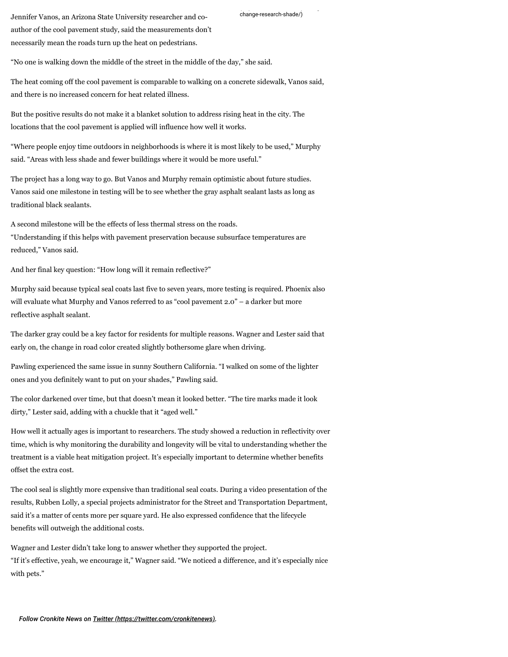[change-research-shade/\)](https://cronkitenews.azpbs.org/2019/08/29/climate-change-research-shade/) Jennifer Vanos, an Arizona State University researcher and coauthor of the cool pavement study, said the measurements don't necessarily mean the roads turn up the heat on pedestrians.

"No one is walking down the middle of the street in the middle of the day," she said.

The heat coming off the cool pavement is comparable to walking on a concrete sidewalk, Vanos said, and there is no increased concern for heat related illness.

But the positive results do not make it a blanket solution to address rising heat in the city. The locations that the cool pavement is applied will influence how well it works.

"Where people enjoy time outdoors in neighborhoods is where it is most likely to be used," Murphy said. "Areas with less shade and fewer buildings where it would be more useful."

The project has a long way to go. But Vanos and Murphy remain optimistic about future studies. Vanos said one milestone in testing will be to see whether the gray asphalt sealant lasts as long as traditional black sealants.

A second milestone will be the effects of less thermal stress on the roads.

"Understanding if this helps with pavement preservation because subsurface temperatures are reduced," Vanos said.

And her final key question: "How long will it remain reflective?"

Murphy said because typical seal coats last five to seven years, more testing is required. Phoenix also will evaluate what Murphy and Vanos referred to as "cool pavement 2.0" – a darker but more reflective asphalt sealant.

The darker gray could be a key factor for residents for multiple reasons. Wagner and Lester said that early on, the change in road color created slightly bothersome glare when driving.

Pawling experienced the same issue in sunny Southern California. "I walked on some of the lighter ones and you definitely want to put on your shades," Pawling said.

The color darkened over time, but that doesn't mean it looked better. "The tire marks made it look dirty," Lester said, adding with a chuckle that it "aged well."

How well it actually ages is important to researchers. The study showed a reduction in reflectivity over time, which is why monitoring the durability and longevity will be vital to understanding whether the treatment is a viable heat mitigation project. It's especially important to determine whether benefits offset the extra cost.

The cool seal is slightly more expensive than traditional seal coats. During a video presentation of the results, Rubben Lolly, a special projects administrator for the Street and Transportation Department, said it's a matter of cents more per square yard. He also expressed confidence that the lifecycle benefits will outweigh the additional costs.

Wagner and Lester didn't take long to answer whether they supported the project. "If it's effective, yeah, we encourage it," Wagner said. "We noticed a difference, and it's especially nice with pets."